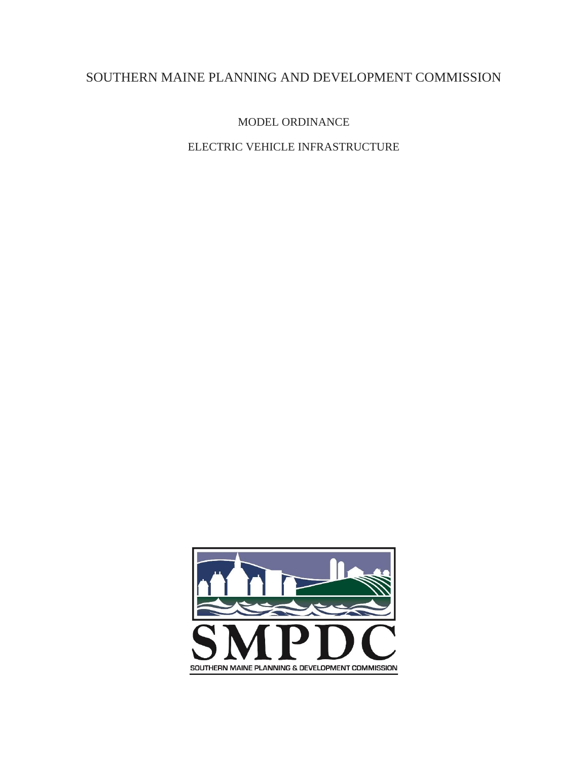# SOUTHERN MAINE PLANNING AND DEVELOPMENT COMMISSION

MODEL ORDINANCE

ELECTRIC VEHICLE INFRASTRUCTURE

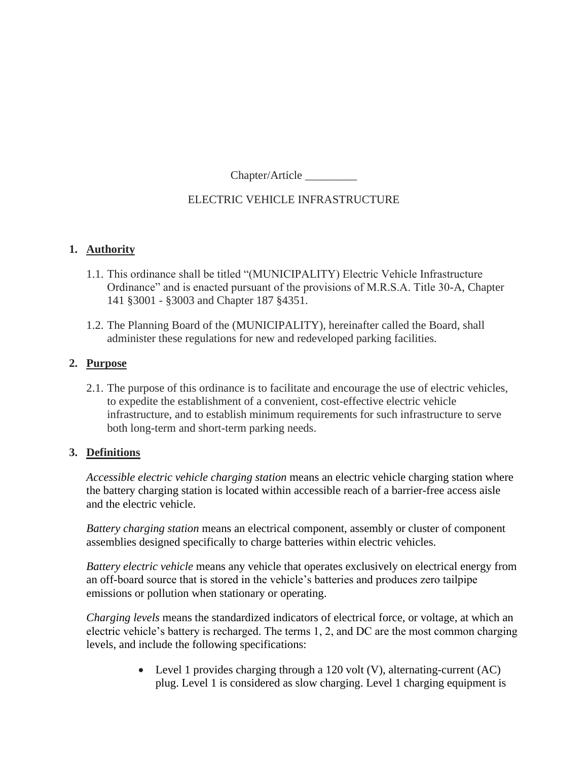Chapter/Article \_\_\_\_\_\_\_\_\_

# ELECTRIC VEHICLE INFRASTRUCTURE

### **1. Authority**

- 1.1. This ordinance shall be titled "(MUNICIPALITY) Electric Vehicle Infrastructure Ordinance" and is enacted pursuant of the provisions of M.R.S.A. Title 30-A, Chapter 141 §3001 - §3003 and Chapter 187 §4351.
- 1.2. The Planning Board of the (MUNICIPALITY), hereinafter called the Board, shall administer these regulations for new and redeveloped parking facilities.

## **2. Purpose**

2.1. The purpose of this ordinance is to facilitate and encourage the use of electric vehicles, to expedite the establishment of a convenient, cost-effective electric vehicle infrastructure, and to establish minimum requirements for such infrastructure to serve both long-term and short-term parking needs.

# **3. Definitions**

*Accessible electric vehicle charging station* means an electric vehicle charging station where the battery charging station is located within accessible reach of a barrier-free access aisle and the electric vehicle.

*Battery charging station* means an electrical component, assembly or cluster of component assemblies designed specifically to charge batteries within electric vehicles.

*Battery electric vehicle* means any vehicle that operates exclusively on electrical energy from an off-board source that is stored in the vehicle's batteries and produces zero tailpipe emissions or pollution when stationary or operating.

*Charging levels* means the standardized indicators of electrical force, or voltage, at which an electric vehicle's battery is recharged. The terms 1, 2, and DC are the most common charging levels, and include the following specifications:

> • Level 1 provides charging through a 120 volt (V), alternating-current (AC) plug. Level 1 is considered as slow charging. Level 1 charging equipment is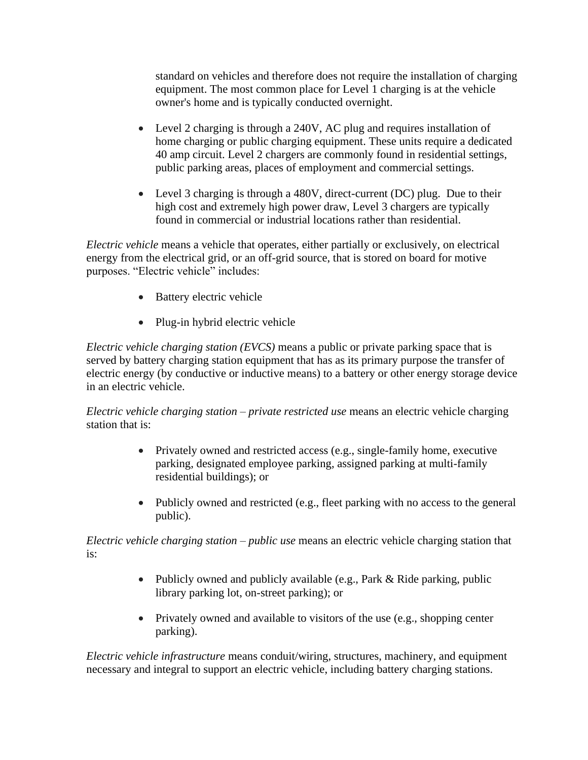standard on vehicles and therefore does not require the installation of charging equipment. The most common place for Level 1 charging is at the vehicle owner's home and is typically conducted overnight.

- Level 2 charging is through a 240V, AC plug and requires installation of home charging or public charging equipment. These units require a dedicated 40 amp circuit. Level 2 chargers are commonly found in residential settings, public parking areas, places of employment and commercial settings.
- Level 3 charging is through a 480V, direct-current (DC) plug. Due to their high cost and extremely high power draw, Level 3 chargers are typically found in commercial or industrial locations rather than residential.

*Electric vehicle* means a vehicle that operates, either partially or exclusively, on electrical energy from the electrical grid, or an off-grid source, that is stored on board for motive purposes. "Electric vehicle" includes:

- Battery electric vehicle
- Plug-in hybrid electric vehicle

*Electric vehicle charging station (EVCS)* means a public or private parking space that is served by battery charging station equipment that has as its primary purpose the transfer of electric energy (by conductive or inductive means) to a battery or other energy storage device in an electric vehicle.

*Electric vehicle charging station – private restricted use* means an electric vehicle charging station that is:

- Privately owned and restricted access (e.g., single-family home, executive parking, designated employee parking, assigned parking at multi-family residential buildings); or
- Publicly owned and restricted (e.g., fleet parking with no access to the general public).

*Electric vehicle charging station – public use* means an electric vehicle charging station that is:

- Publicly owned and publicly available (e.g., Park & Ride parking, public library parking lot, on-street parking); or
- Privately owned and available to visitors of the use (e.g., shopping center parking).

*Electric vehicle infrastructure* means conduit/wiring, structures, machinery, and equipment necessary and integral to support an electric vehicle, including battery charging stations.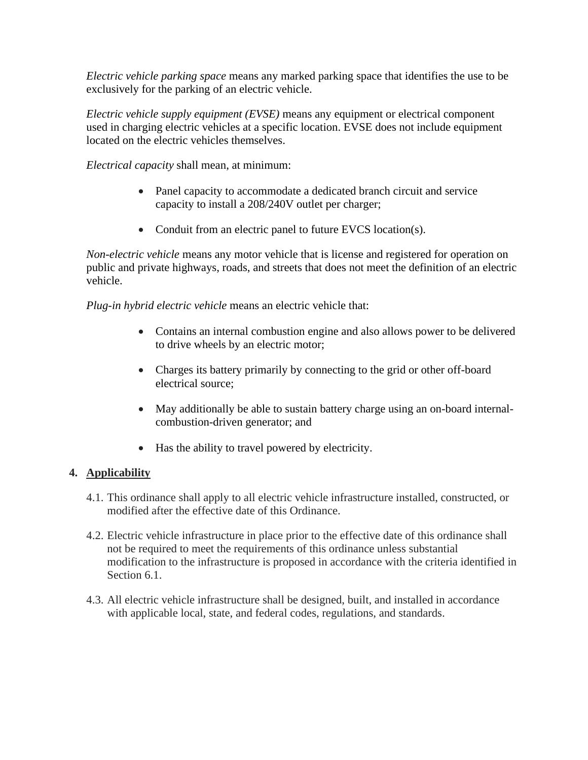*Electric vehicle parking space* means any marked parking space that identifies the use to be exclusively for the parking of an electric vehicle.

*Electric vehicle supply equipment (EVSE)* means any equipment or electrical component used in charging electric vehicles at a specific location. EVSE does not include equipment located on the electric vehicles themselves.

*Electrical capacity* shall mean, at minimum:

- Panel capacity to accommodate a dedicated branch circuit and service capacity to install a 208/240V outlet per charger;
- Conduit from an electric panel to future EVCS location(s).

*Non-electric vehicle* means any motor vehicle that is license and registered for operation on public and private highways, roads, and streets that does not meet the definition of an electric vehicle.

*Plug-in hybrid electric vehicle* means an electric vehicle that:

- Contains an internal combustion engine and also allows power to be delivered to drive wheels by an electric motor;
- Charges its battery primarily by connecting to the grid or other off-board electrical source;
- May additionally be able to sustain battery charge using an on-board internalcombustion-driven generator; and
- Has the ability to travel powered by electricity.

### **4. Applicability**

- 4.1. This ordinance shall apply to all electric vehicle infrastructure installed, constructed, or modified after the effective date of this Ordinance.
- 4.2. Electric vehicle infrastructure in place prior to the effective date of this ordinance shall not be required to meet the requirements of this ordinance unless substantial modification to the infrastructure is proposed in accordance with the criteria identified in Section 6.1.
- 4.3. All electric vehicle infrastructure shall be designed, built, and installed in accordance with applicable local, state, and federal codes, regulations, and standards.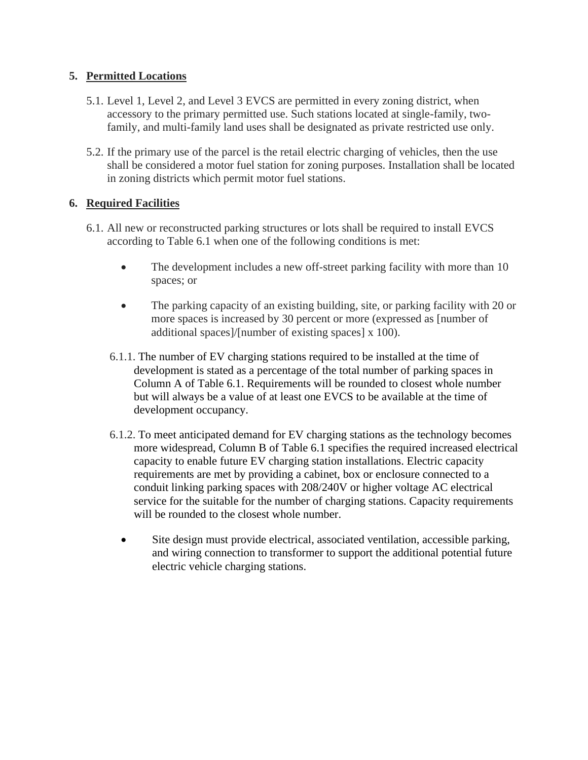## **5. Permitted Locations**

- 5.1. Level 1, Level 2, and Level 3 EVCS are permitted in every zoning district, when accessory to the primary permitted use. Such stations located at single-family, twofamily, and multi-family land uses shall be designated as private restricted use only.
- 5.2. If the primary use of the parcel is the retail electric charging of vehicles, then the use shall be considered a motor fuel station for zoning purposes. Installation shall be located in zoning districts which permit motor fuel stations.

## **6. Required Facilities**

- 6.1. All new or reconstructed parking structures or lots shall be required to install EVCS according to Table 6.1 when one of the following conditions is met:
	- The development includes a new off-street parking facility with more than 10 spaces; or
	- The parking capacity of an existing building, site, or parking facility with 20 or more spaces is increased by 30 percent or more (expressed as [number of additional spaces]/[number of existing spaces] x 100).
	- 6.1.1. The number of EV charging stations required to be installed at the time of development is stated as a percentage of the total number of parking spaces in Column A of Table 6.1. Requirements will be rounded to closest whole number but will always be a value of at least one EVCS to be available at the time of development occupancy.
	- 6.1.2. To meet anticipated demand for EV charging stations as the technology becomes more widespread, Column B of Table 6.1 specifies the required increased electrical capacity to enable future EV charging station installations. Electric capacity requirements are met by providing a cabinet, box or enclosure connected to a conduit linking parking spaces with 208/240V or higher voltage AC electrical service for the suitable for the number of charging stations. Capacity requirements will be rounded to the closest whole number.
		- Site design must provide electrical, associated ventilation, accessible parking, and wiring connection to transformer to support the additional potential future electric vehicle charging stations.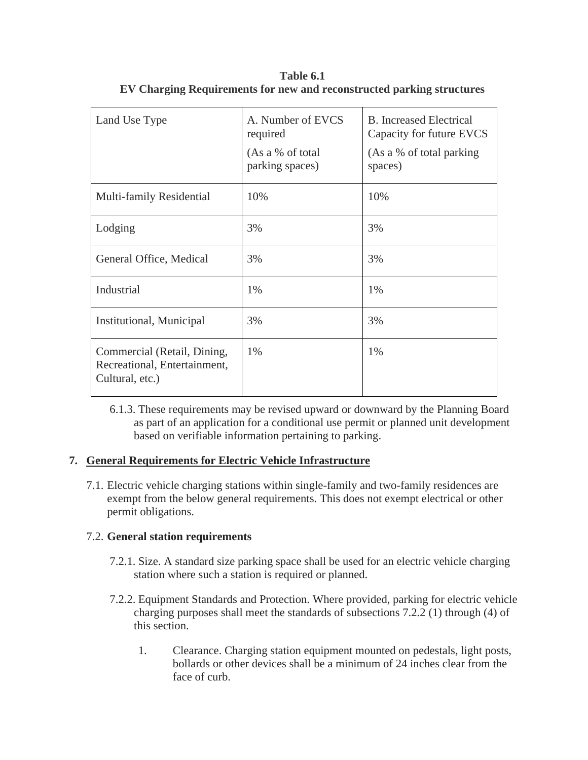| Land Use Type                                                                  | A. Number of EVCS<br>required<br>(As a % of total<br>parking spaces) | <b>B.</b> Increased Electrical<br>Capacity for future EVCS<br>(As a % of total parking)<br>spaces) |
|--------------------------------------------------------------------------------|----------------------------------------------------------------------|----------------------------------------------------------------------------------------------------|
| Multi-family Residential                                                       | 10%                                                                  | 10%                                                                                                |
| Lodging                                                                        | 3%                                                                   | 3%                                                                                                 |
| General Office, Medical                                                        | 3%                                                                   | 3%                                                                                                 |
| Industrial                                                                     | 1%                                                                   | $1\%$                                                                                              |
| Institutional, Municipal                                                       | 3%                                                                   | 3%                                                                                                 |
| Commercial (Retail, Dining,<br>Recreational, Entertainment,<br>Cultural, etc.) | 1%                                                                   | 1%                                                                                                 |

**Table 6.1 EV Charging Requirements for new and reconstructed parking structures**

6.1.3. These requirements may be revised upward or downward by the Planning Board as part of an application for a conditional use permit or planned unit development based on verifiable information pertaining to parking.

# **7. General Requirements for Electric Vehicle Infrastructure**

7.1. Electric vehicle charging stations within single-family and two-family residences are exempt from the below general requirements. This does not exempt electrical or other permit obligations.

# 7.2. **General station requirements**

- 7.2.1. Size. A standard size parking space shall be used for an electric vehicle charging station where such a station is required or planned.
- 7.2.2. Equipment Standards and Protection. Where provided, parking for electric vehicle charging purposes shall meet the standards of subsections 7.2.2 (1) through (4) of this section.
	- 1. Clearance. Charging station equipment mounted on pedestals, light posts, bollards or other devices shall be a minimum of 24 inches clear from the face of curb.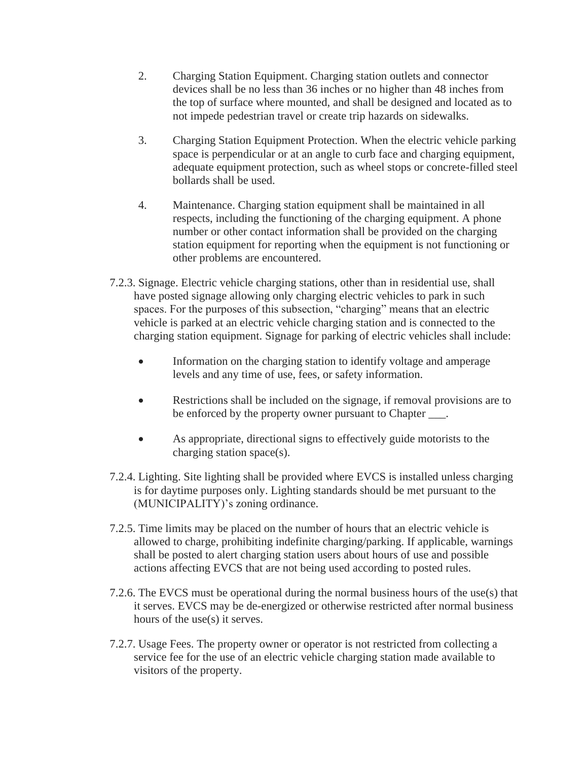- 2. Charging Station Equipment. Charging station outlets and connector devices shall be no less than 36 inches or no higher than 48 inches from the top of surface where mounted, and shall be designed and located as to not impede pedestrian travel or create trip hazards on sidewalks.
- 3. Charging Station Equipment Protection. When the electric vehicle parking space is perpendicular or at an angle to curb face and charging equipment, adequate equipment protection, such as wheel stops or concrete-filled steel bollards shall be used.
- 4. Maintenance. Charging station equipment shall be maintained in all respects, including the functioning of the charging equipment. A phone number or other contact information shall be provided on the charging station equipment for reporting when the equipment is not functioning or other problems are encountered.
- 7.2.3. Signage. Electric vehicle charging stations, other than in residential use, shall have posted signage allowing only charging electric vehicles to park in such spaces. For the purposes of this subsection, "charging" means that an electric vehicle is parked at an electric vehicle charging station and is connected to the charging station equipment. Signage for parking of electric vehicles shall include:
	- Information on the charging station to identify voltage and amperage levels and any time of use, fees, or safety information.
	- Restrictions shall be included on the signage, if removal provisions are to be enforced by the property owner pursuant to Chapter  $\qquad$ .
	- As appropriate, directional signs to effectively guide motorists to the charging station space(s).
- 7.2.4. Lighting. Site lighting shall be provided where EVCS is installed unless charging is for daytime purposes only. Lighting standards should be met pursuant to the (MUNICIPALITY)'s zoning ordinance.
- 7.2.5. Time limits may be placed on the number of hours that an electric vehicle is allowed to charge, prohibiting indefinite charging/parking. If applicable, warnings shall be posted to alert charging station users about hours of use and possible actions affecting EVCS that are not being used according to posted rules.
- 7.2.6. The EVCS must be operational during the normal business hours of the use(s) that it serves. EVCS may be de-energized or otherwise restricted after normal business hours of the use(s) it serves.
- 7.2.7. Usage Fees. The property owner or operator is not restricted from collecting a service fee for the use of an electric vehicle charging station made available to visitors of the property.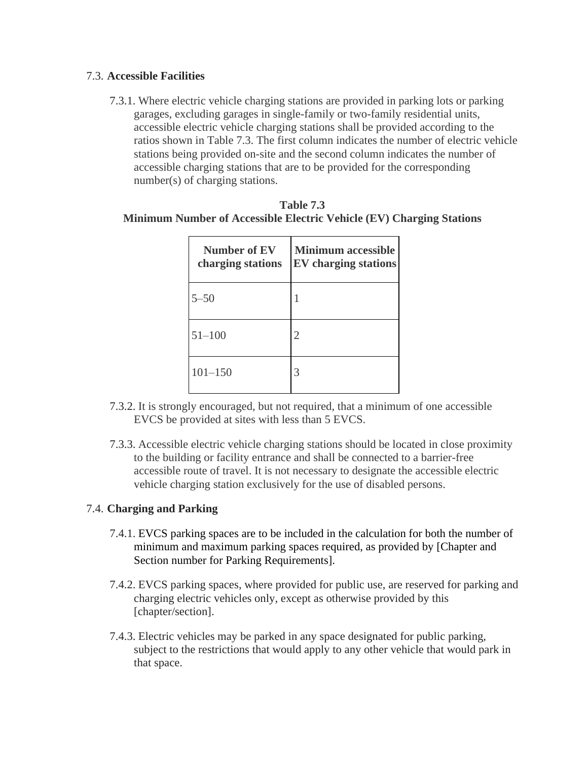### 7.3. **Accessible Facilities**

7.3.1. Where electric vehicle charging stations are provided in parking lots or parking garages, excluding garages in single-family or two-family residential units, accessible electric vehicle charging stations shall be provided according to the ratios shown in Table 7.3. The first column indicates the number of electric vehicle stations being provided on-site and the second column indicates the number of accessible charging stations that are to be provided for the corresponding number(s) of charging stations.

| <b>Table 7.3</b>                                                     |
|----------------------------------------------------------------------|
| Minimum Number of Accessible Electric Vehicle (EV) Charging Stations |

| <b>Number of EV</b><br>charging stations | <b>Minimum accessible</b><br><b>EV</b> charging stations |
|------------------------------------------|----------------------------------------------------------|
| $5 - 50$                                 |                                                          |
| $51 - 100$                               | 2                                                        |
| $101 - 150$                              | 3                                                        |

- 7.3.2. It is strongly encouraged, but not required, that a minimum of one accessible EVCS be provided at sites with less than 5 EVCS.
- 7.3.3. Accessible electric vehicle charging stations should be located in close proximity to the building or facility entrance and shall be connected to a barrier-free accessible route of travel. It is not necessary to designate the accessible electric vehicle charging station exclusively for the use of disabled persons.

### 7.4. **Charging and Parking**

- 7.4.1. EVCS parking spaces are to be included in the calculation for both the number of minimum and maximum parking spaces required, as provided by [Chapter and Section number for Parking Requirements].
- 7.4.2. EVCS parking spaces, where provided for public use, are reserved for parking and charging electric vehicles only, except as otherwise provided by this [chapter/section].
- 7.4.3. Electric vehicles may be parked in any space designated for public parking, subject to the restrictions that would apply to any other vehicle that would park in that space.